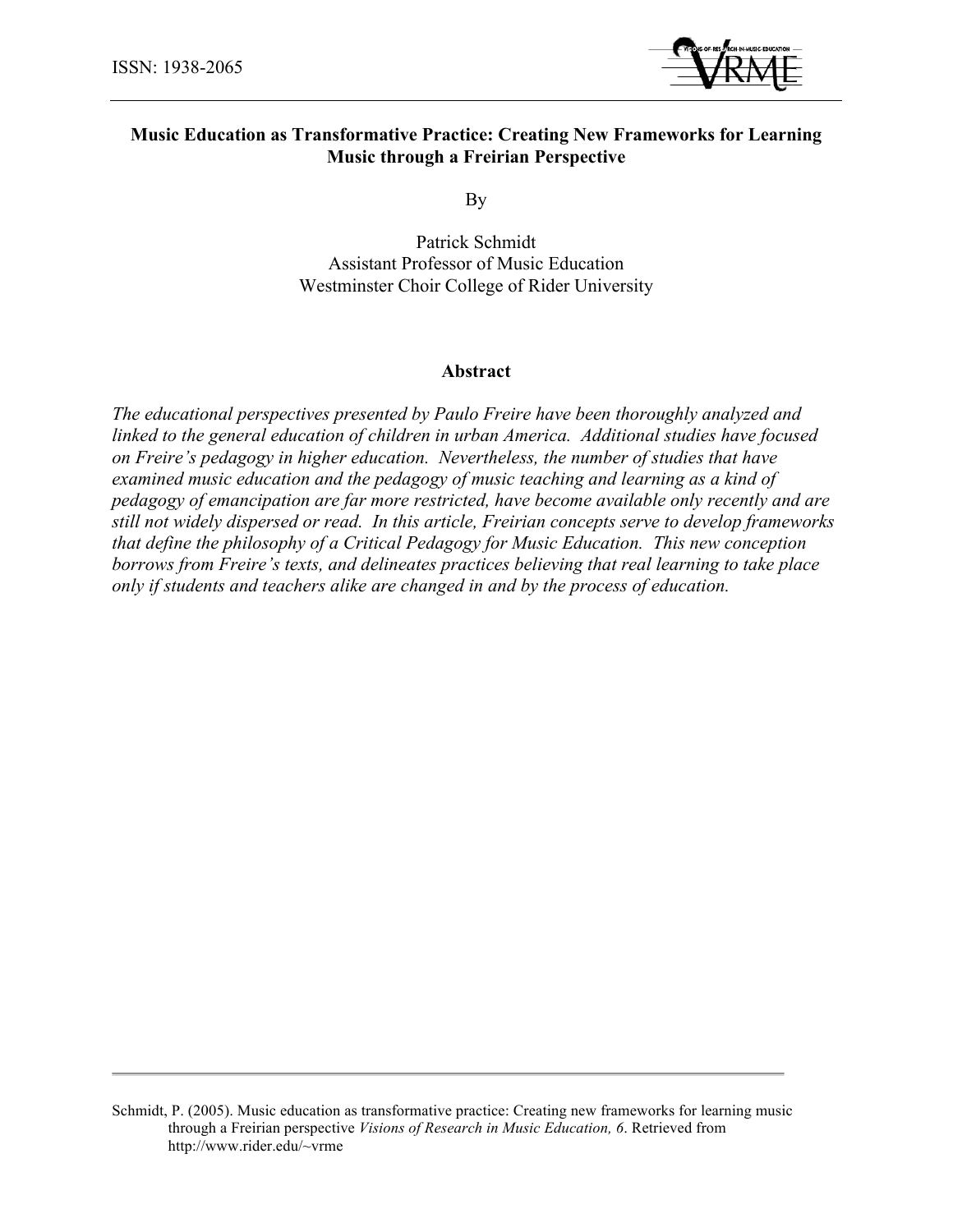

# **Music Education as Transformative Practice: Creating New Frameworks for Learning Music through a Freirian Perspective**

By

Patrick Schmidt Assistant Professor of Music Education Westminster Choir College of Rider University

## **Abstract**

*The educational perspectives presented by Paulo Freire have been thoroughly analyzed and linked to the general education of children in urban America. Additional studies have focused on Freire's pedagogy in higher education. Nevertheless, the number of studies that have examined music education and the pedagogy of music teaching and learning as a kind of pedagogy of emancipation are far more restricted, have become available only recently and are still not widely dispersed or read. In this article, Freirian concepts serve to develop frameworks that define the philosophy of a Critical Pedagogy for Music Education. This new conception borrows from Freire's texts, and delineates practices believing that real learning to take place only if students and teachers alike are changed in and by the process of education.*

Schmidt, P. (2005). Music education as transformative practice: Creating new frameworks for learning music through a Freirian perspective *Visions of Research in Music Education, 6*. Retrieved from http://www.rider.edu/~vrme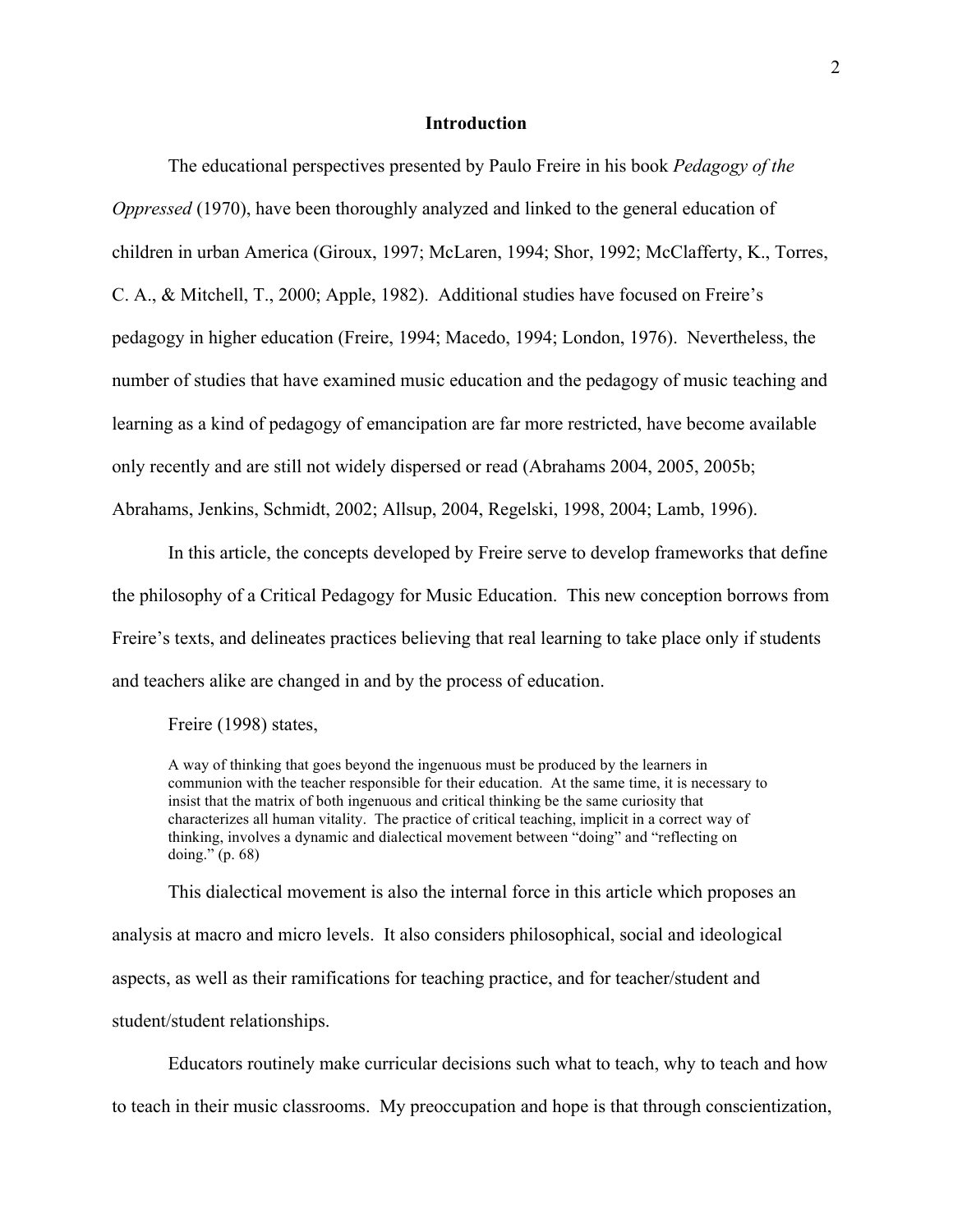## **Introduction**

The educational perspectives presented by Paulo Freire in his book *Pedagogy of the Oppressed* (1970), have been thoroughly analyzed and linked to the general education of children in urban America (Giroux, 1997; McLaren, 1994; Shor, 1992; McClafferty, K., Torres, C. A., & Mitchell, T., 2000; Apple, 1982). Additional studies have focused on Freire's pedagogy in higher education (Freire, 1994; Macedo, 1994; London, 1976). Nevertheless, the number of studies that have examined music education and the pedagogy of music teaching and learning as a kind of pedagogy of emancipation are far more restricted, have become available only recently and are still not widely dispersed or read (Abrahams 2004, 2005, 2005b; Abrahams, Jenkins, Schmidt, 2002; Allsup, 2004, Regelski, 1998, 2004; Lamb, 1996).

In this article, the concepts developed by Freire serve to develop frameworks that define the philosophy of a Critical Pedagogy for Music Education. This new conception borrows from Freire's texts, and delineates practices believing that real learning to take place only if students and teachers alike are changed in and by the process of education.

Freire (1998) states,

A way of thinking that goes beyond the ingenuous must be produced by the learners in communion with the teacher responsible for their education. At the same time, it is necessary to insist that the matrix of both ingenuous and critical thinking be the same curiosity that characterizes all human vitality. The practice of critical teaching, implicit in a correct way of thinking, involves a dynamic and dialectical movement between "doing" and "reflecting on doing." (p. 68)

This dialectical movement is also the internal force in this article which proposes an analysis at macro and micro levels. It also considers philosophical, social and ideological aspects, as well as their ramifications for teaching practice, and for teacher/student and student/student relationships.

Educators routinely make curricular decisions such what to teach, why to teach and how to teach in their music classrooms. My preoccupation and hope is that through conscientization,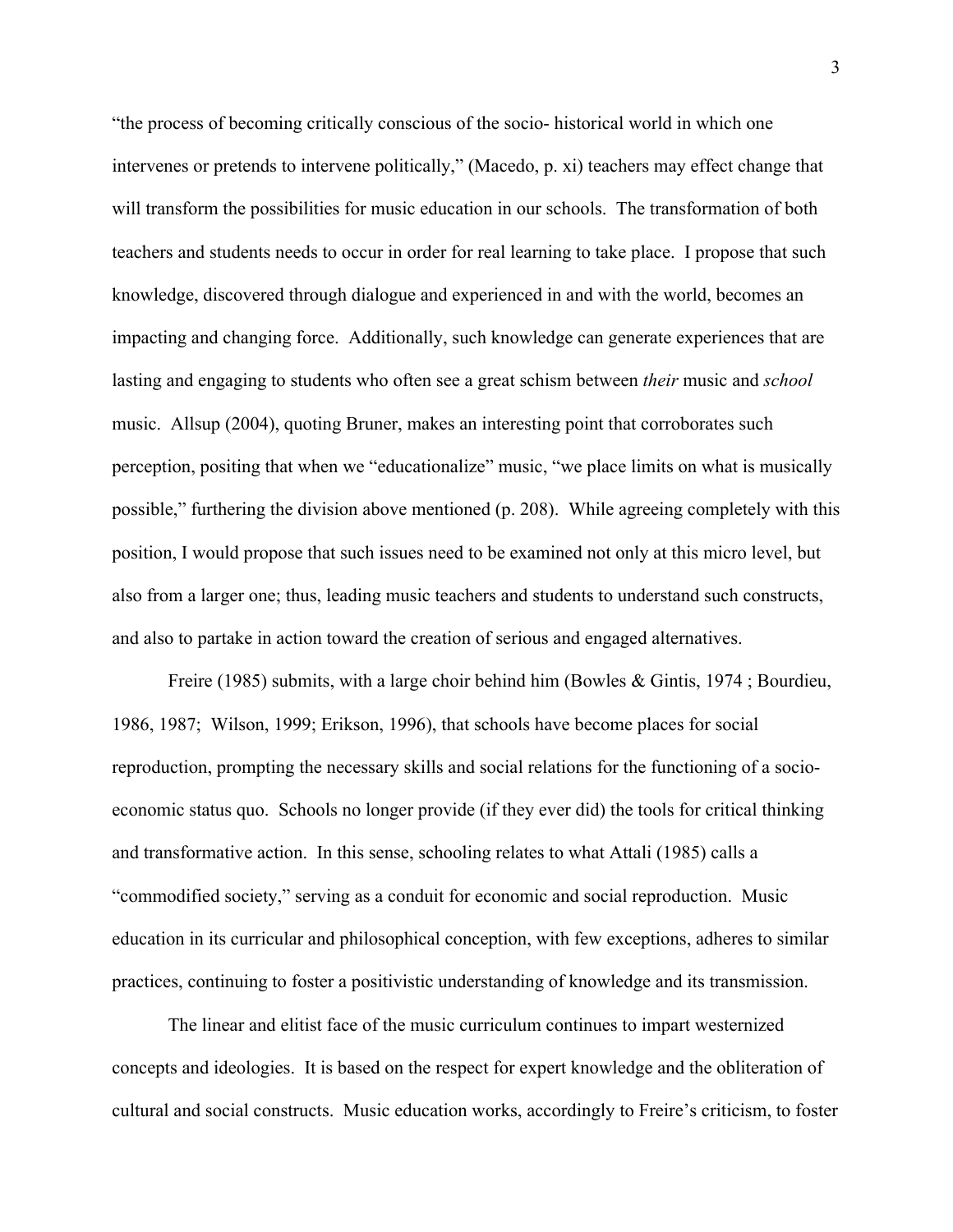"the process of becoming critically conscious of the socio- historical world in which one intervenes or pretends to intervene politically," (Macedo, p. xi) teachers may effect change that will transform the possibilities for music education in our schools. The transformation of both teachers and students needs to occur in order for real learning to take place. I propose that such knowledge, discovered through dialogue and experienced in and with the world, becomes an impacting and changing force. Additionally, such knowledge can generate experiences that are lasting and engaging to students who often see a great schism between *their* music and *school*  music. Allsup (2004), quoting Bruner, makes an interesting point that corroborates such perception, positing that when we "educationalize" music, "we place limits on what is musically possible," furthering the division above mentioned (p. 208). While agreeing completely with this position, I would propose that such issues need to be examined not only at this micro level, but also from a larger one; thus, leading music teachers and students to understand such constructs, and also to partake in action toward the creation of serious and engaged alternatives.

Freire (1985) submits, with a large choir behind him (Bowles & Gintis, 1974 ; Bourdieu, 1986, 1987; Wilson, 1999; Erikson, 1996), that schools have become places for social reproduction, prompting the necessary skills and social relations for the functioning of a socioeconomic status quo. Schools no longer provide (if they ever did) the tools for critical thinking and transformative action. In this sense, schooling relates to what Attali (1985) calls a "commodified society," serving as a conduit for economic and social reproduction. Music education in its curricular and philosophical conception, with few exceptions, adheres to similar practices, continuing to foster a positivistic understanding of knowledge and its transmission.

The linear and elitist face of the music curriculum continues to impart westernized concepts and ideologies. It is based on the respect for expert knowledge and the obliteration of cultural and social constructs. Music education works, accordingly to Freire's criticism, to foster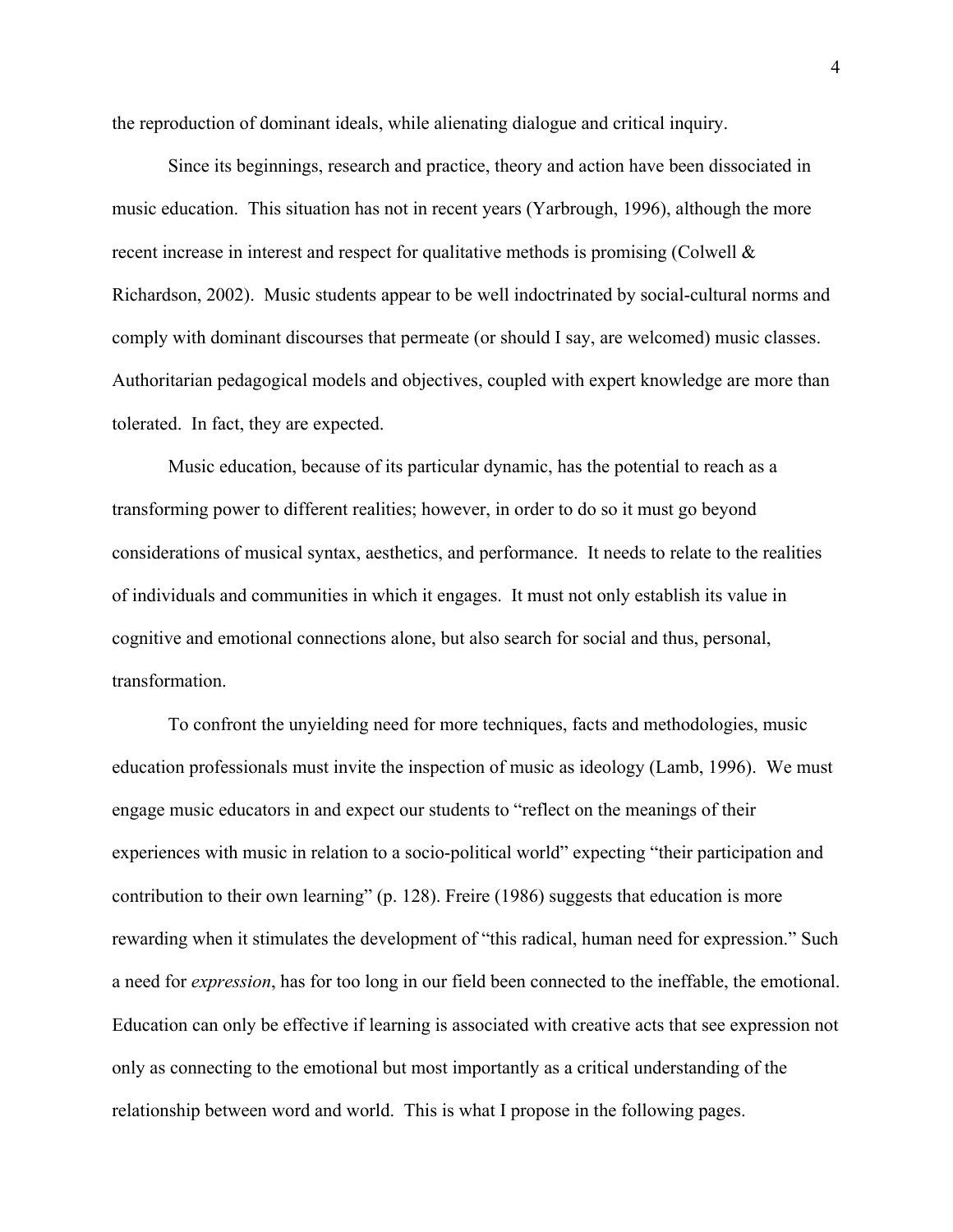the reproduction of dominant ideals, while alienating dialogue and critical inquiry.

Since its beginnings, research and practice, theory and action have been dissociated in music education. This situation has not in recent years (Yarbrough, 1996), although the more recent increase in interest and respect for qualitative methods is promising (Colwell & Richardson, 2002). Music students appear to be well indoctrinated by social-cultural norms and comply with dominant discourses that permeate (or should I say, are welcomed) music classes. Authoritarian pedagogical models and objectives, coupled with expert knowledge are more than tolerated. In fact, they are expected.

Music education, because of its particular dynamic, has the potential to reach as a transforming power to different realities; however, in order to do so it must go beyond considerations of musical syntax, aesthetics, and performance. It needs to relate to the realities of individuals and communities in which it engages. It must not only establish its value in cognitive and emotional connections alone, but also search for social and thus, personal, transformation.

To confront the unyielding need for more techniques, facts and methodologies, music education professionals must invite the inspection of music as ideology (Lamb, 1996). We must engage music educators in and expect our students to "reflect on the meanings of their experiences with music in relation to a socio-political world" expecting "their participation and contribution to their own learning" (p. 128). Freire (1986) suggests that education is more rewarding when it stimulates the development of "this radical, human need for expression." Such a need for *expression*, has for too long in our field been connected to the ineffable, the emotional. Education can only be effective if learning is associated with creative acts that see expression not only as connecting to the emotional but most importantly as a critical understanding of the relationship between word and world. This is what I propose in the following pages.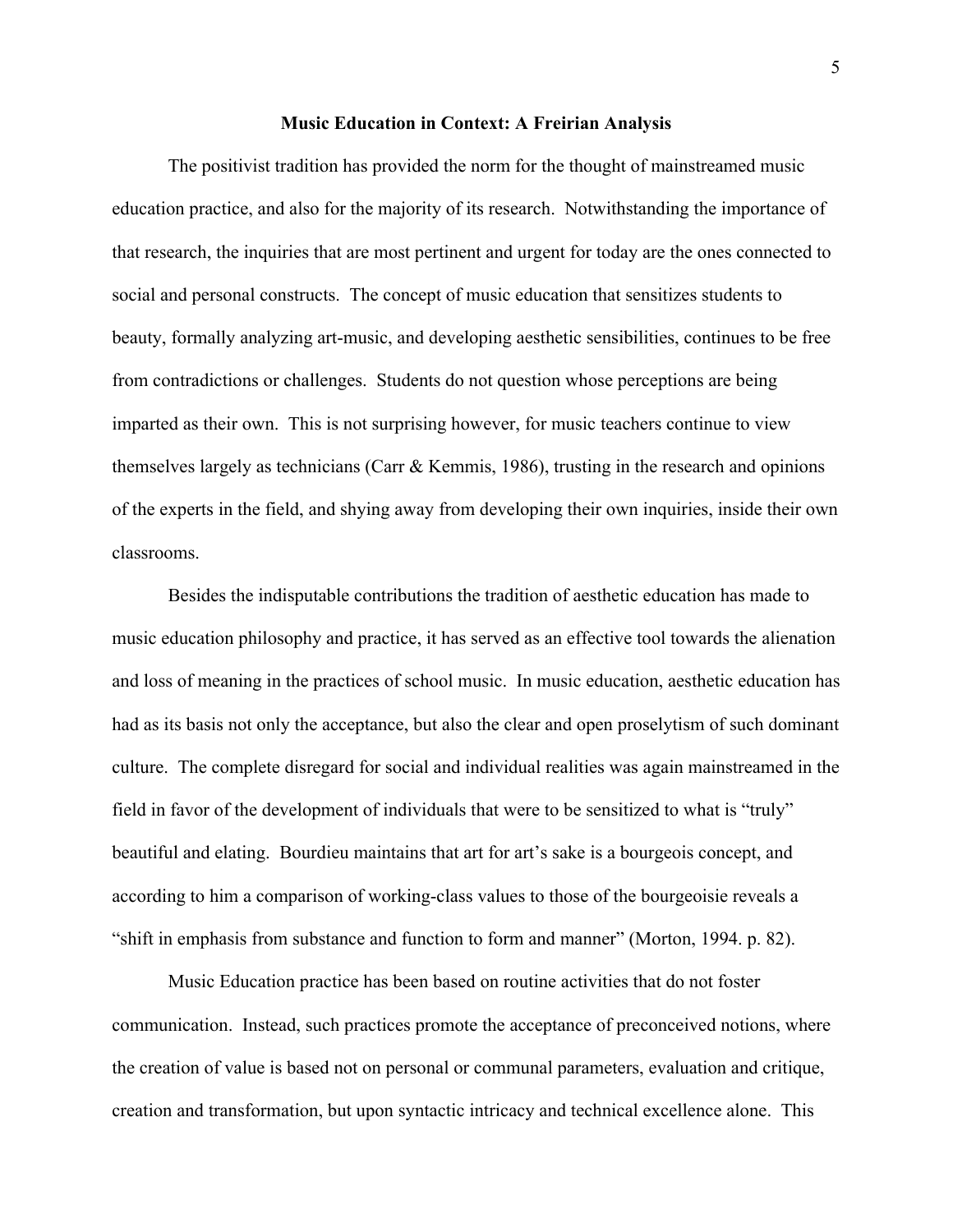#### **Music Education in Context: A Freirian Analysis**

The positivist tradition has provided the norm for the thought of mainstreamed music education practice, and also for the majority of its research. Notwithstanding the importance of that research, the inquiries that are most pertinent and urgent for today are the ones connected to social and personal constructs. The concept of music education that sensitizes students to beauty, formally analyzing art-music, and developing aesthetic sensibilities, continues to be free from contradictions or challenges. Students do not question whose perceptions are being imparted as their own. This is not surprising however, for music teachers continue to view themselves largely as technicians (Carr & Kemmis, 1986), trusting in the research and opinions of the experts in the field, and shying away from developing their own inquiries, inside their own classrooms.

Besides the indisputable contributions the tradition of aesthetic education has made to music education philosophy and practice, it has served as an effective tool towards the alienation and loss of meaning in the practices of school music. In music education, aesthetic education has had as its basis not only the acceptance, but also the clear and open proselytism of such dominant culture. The complete disregard for social and individual realities was again mainstreamed in the field in favor of the development of individuals that were to be sensitized to what is "truly" beautiful and elating. Bourdieu maintains that art for art's sake is a bourgeois concept, and according to him a comparison of working-class values to those of the bourgeoisie reveals a "shift in emphasis from substance and function to form and manner" (Morton, 1994. p. 82).

Music Education practice has been based on routine activities that do not foster communication. Instead, such practices promote the acceptance of preconceived notions, where the creation of value is based not on personal or communal parameters, evaluation and critique, creation and transformation, but upon syntactic intricacy and technical excellence alone. This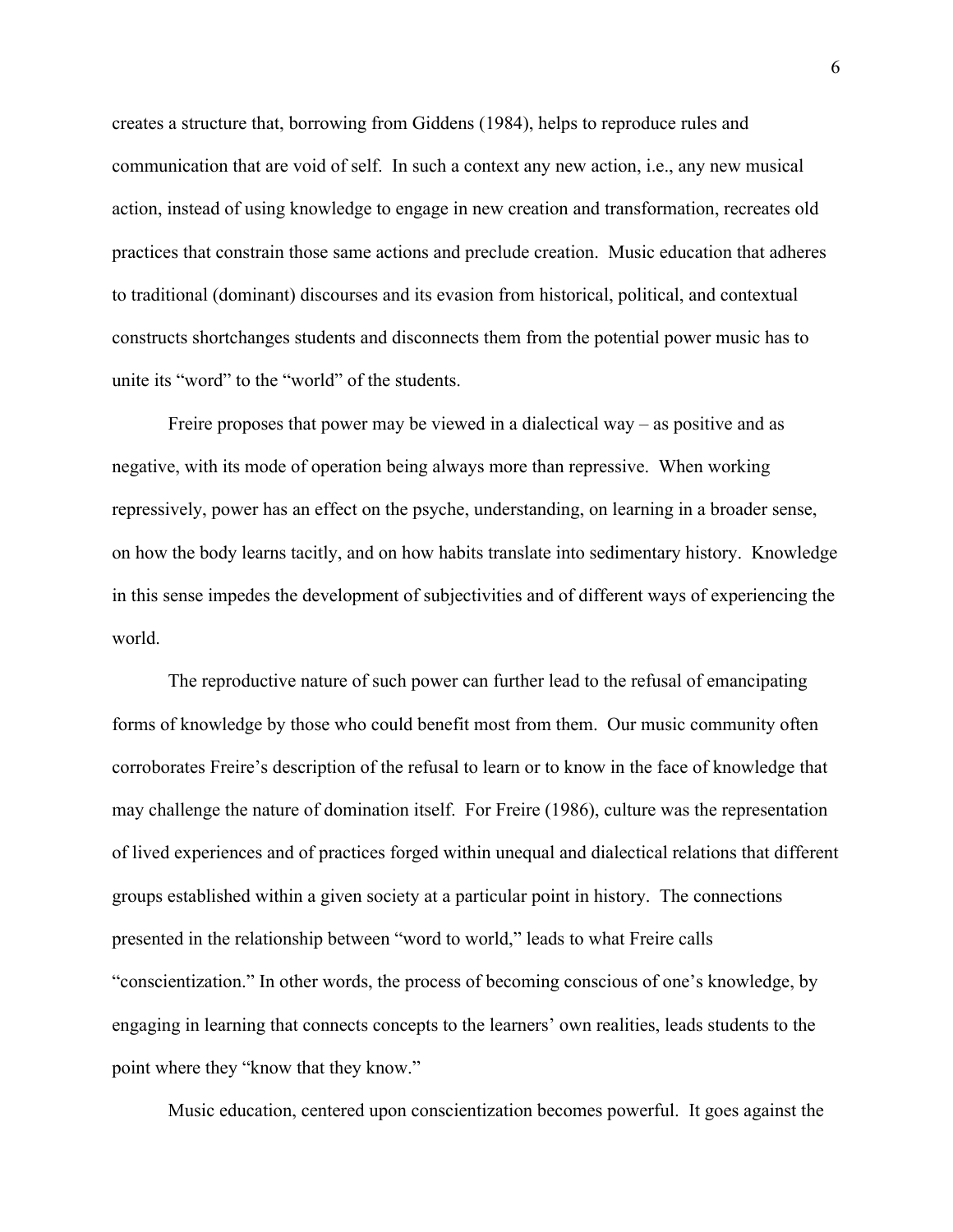creates a structure that, borrowing from Giddens (1984), helps to reproduce rules and communication that are void of self. In such a context any new action, i.e., any new musical action, instead of using knowledge to engage in new creation and transformation, recreates old practices that constrain those same actions and preclude creation. Music education that adheres to traditional (dominant) discourses and its evasion from historical, political, and contextual constructs shortchanges students and disconnects them from the potential power music has to unite its "word" to the "world" of the students.

Freire proposes that power may be viewed in a dialectical way – as positive and as negative, with its mode of operation being always more than repressive. When working repressively, power has an effect on the psyche, understanding, on learning in a broader sense, on how the body learns tacitly, and on how habits translate into sedimentary history. Knowledge in this sense impedes the development of subjectivities and of different ways of experiencing the world.

The reproductive nature of such power can further lead to the refusal of emancipating forms of knowledge by those who could benefit most from them. Our music community often corroborates Freire's description of the refusal to learn or to know in the face of knowledge that may challenge the nature of domination itself. For Freire (1986), culture was the representation of lived experiences and of practices forged within unequal and dialectical relations that different groups established within a given society at a particular point in history. The connections presented in the relationship between "word to world," leads to what Freire calls "conscientization." In other words, the process of becoming conscious of one's knowledge, by engaging in learning that connects concepts to the learners' own realities, leads students to the point where they "know that they know."

Music education, centered upon conscientization becomes powerful. It goes against the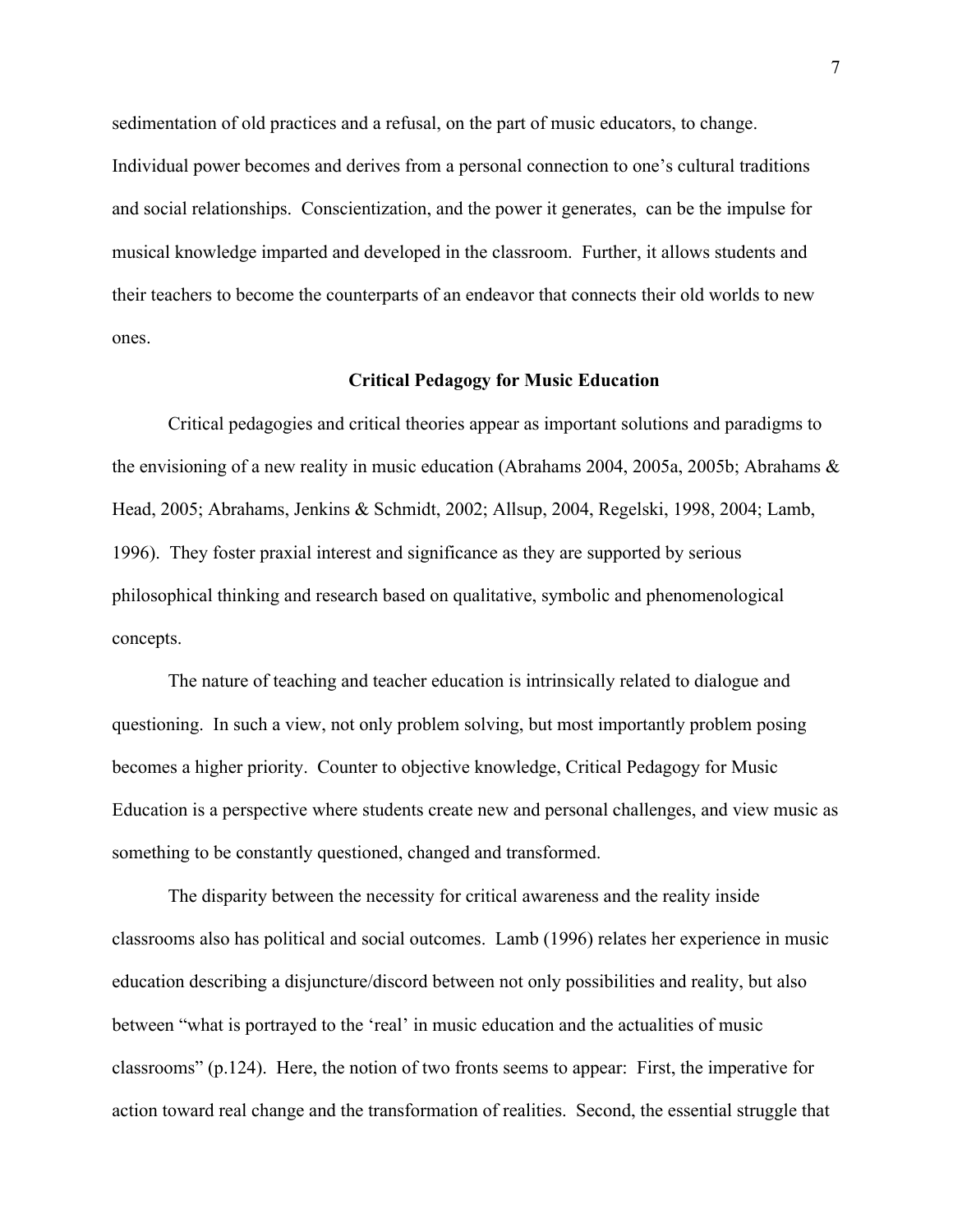sedimentation of old practices and a refusal, on the part of music educators, to change. Individual power becomes and derives from a personal connection to one's cultural traditions and social relationships. Conscientization, and the power it generates, can be the impulse for musical knowledge imparted and developed in the classroom. Further, it allows students and their teachers to become the counterparts of an endeavor that connects their old worlds to new ones.

## **Critical Pedagogy for Music Education**

Critical pedagogies and critical theories appear as important solutions and paradigms to the envisioning of a new reality in music education (Abrahams 2004, 2005a, 2005b; Abrahams & Head, 2005; Abrahams, Jenkins & Schmidt, 2002; Allsup, 2004, Regelski, 1998, 2004; Lamb, 1996). They foster praxial interest and significance as they are supported by serious philosophical thinking and research based on qualitative, symbolic and phenomenological concepts.

The nature of teaching and teacher education is intrinsically related to dialogue and questioning. In such a view, not only problem solving, but most importantly problem posing becomes a higher priority. Counter to objective knowledge, Critical Pedagogy for Music Education is a perspective where students create new and personal challenges, and view music as something to be constantly questioned, changed and transformed.

The disparity between the necessity for critical awareness and the reality inside classrooms also has political and social outcomes. Lamb (1996) relates her experience in music education describing a disjuncture/discord between not only possibilities and reality, but also between "what is portrayed to the 'real' in music education and the actualities of music classrooms" (p.124). Here, the notion of two fronts seems to appear: First, the imperative for action toward real change and the transformation of realities. Second, the essential struggle that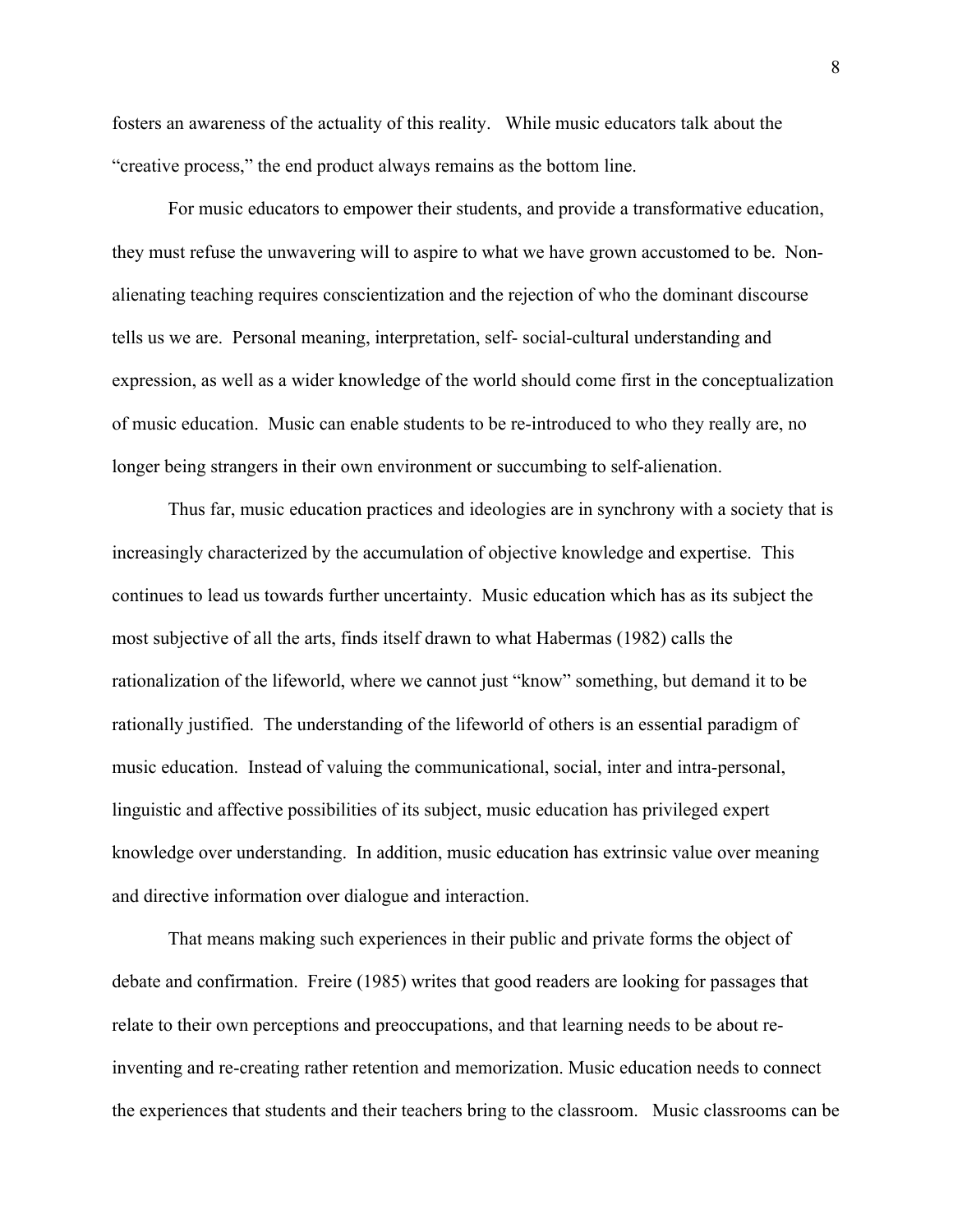fosters an awareness of the actuality of this reality. While music educators talk about the "creative process," the end product always remains as the bottom line.

For music educators to empower their students, and provide a transformative education, they must refuse the unwavering will to aspire to what we have grown accustomed to be. Nonalienating teaching requires conscientization and the rejection of who the dominant discourse tells us we are. Personal meaning, interpretation, self- social-cultural understanding and expression, as well as a wider knowledge of the world should come first in the conceptualization of music education. Music can enable students to be re-introduced to who they really are, no longer being strangers in their own environment or succumbing to self-alienation.

Thus far, music education practices and ideologies are in synchrony with a society that is increasingly characterized by the accumulation of objective knowledge and expertise. This continues to lead us towards further uncertainty. Music education which has as its subject the most subjective of all the arts, finds itself drawn to what Habermas (1982) calls the rationalization of the lifeworld, where we cannot just "know" something, but demand it to be rationally justified. The understanding of the lifeworld of others is an essential paradigm of music education. Instead of valuing the communicational, social, inter and intra-personal, linguistic and affective possibilities of its subject, music education has privileged expert knowledge over understanding. In addition, music education has extrinsic value over meaning and directive information over dialogue and interaction.

That means making such experiences in their public and private forms the object of debate and confirmation. Freire (1985) writes that good readers are looking for passages that relate to their own perceptions and preoccupations, and that learning needs to be about reinventing and re-creating rather retention and memorization. Music education needs to connect the experiences that students and their teachers bring to the classroom. Music classrooms can be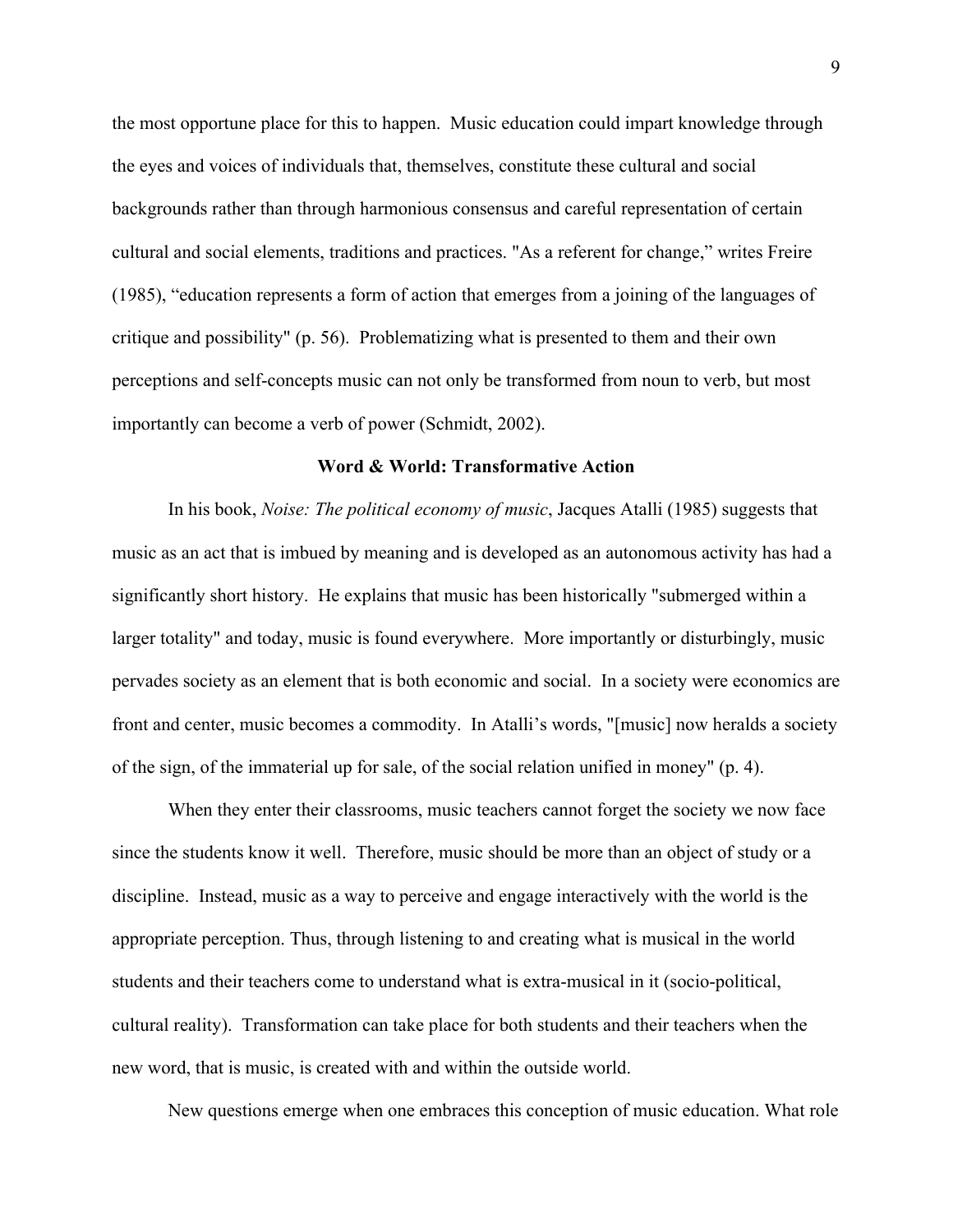the most opportune place for this to happen. Music education could impart knowledge through the eyes and voices of individuals that, themselves, constitute these cultural and social backgrounds rather than through harmonious consensus and careful representation of certain cultural and social elements, traditions and practices. "As a referent for change," writes Freire (1985), "education represents a form of action that emerges from a joining of the languages of critique and possibility" (p. 56). Problematizing what is presented to them and their own perceptions and self-concepts music can not only be transformed from noun to verb, but most importantly can become a verb of power (Schmidt, 2002).

### **Word & World: Transformative Action**

In his book, *Noise: The political economy of music*, Jacques Atalli (1985) suggests that music as an act that is imbued by meaning and is developed as an autonomous activity has had a significantly short history. He explains that music has been historically "submerged within a larger totality" and today, music is found everywhere. More importantly or disturbingly, music pervades society as an element that is both economic and social. In a society were economics are front and center, music becomes a commodity. In Atalli's words, "[music] now heralds a society of the sign, of the immaterial up for sale, of the social relation unified in money" (p. 4).

When they enter their classrooms, music teachers cannot forget the society we now face since the students know it well. Therefore, music should be more than an object of study or a discipline. Instead, music as a way to perceive and engage interactively with the world is the appropriate perception. Thus, through listening to and creating what is musical in the world students and their teachers come to understand what is extra-musical in it (socio-political, cultural reality). Transformation can take place for both students and their teachers when the new word, that is music, is created with and within the outside world.

New questions emerge when one embraces this conception of music education. What role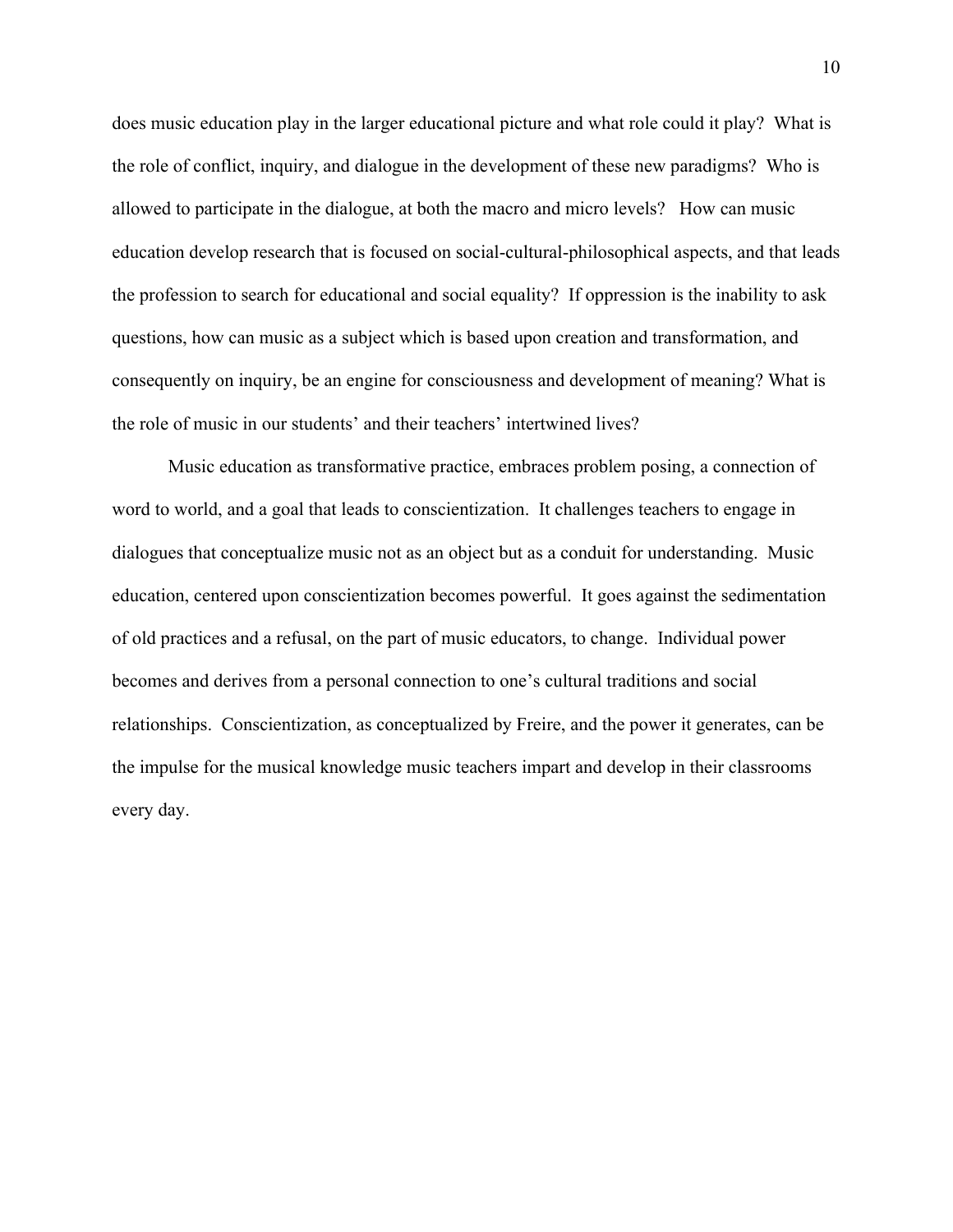does music education play in the larger educational picture and what role could it play? What is the role of conflict, inquiry, and dialogue in the development of these new paradigms? Who is allowed to participate in the dialogue, at both the macro and micro levels? How can music education develop research that is focused on social-cultural-philosophical aspects, and that leads the profession to search for educational and social equality? If oppression is the inability to ask questions, how can music as a subject which is based upon creation and transformation, and consequently on inquiry, be an engine for consciousness and development of meaning? What is the role of music in our students' and their teachers' intertwined lives?

Music education as transformative practice, embraces problem posing, a connection of word to world, and a goal that leads to conscientization. It challenges teachers to engage in dialogues that conceptualize music not as an object but as a conduit for understanding. Music education, centered upon conscientization becomes powerful. It goes against the sedimentation of old practices and a refusal, on the part of music educators, to change. Individual power becomes and derives from a personal connection to one's cultural traditions and social relationships. Conscientization, as conceptualized by Freire, and the power it generates, can be the impulse for the musical knowledge music teachers impart and develop in their classrooms every day.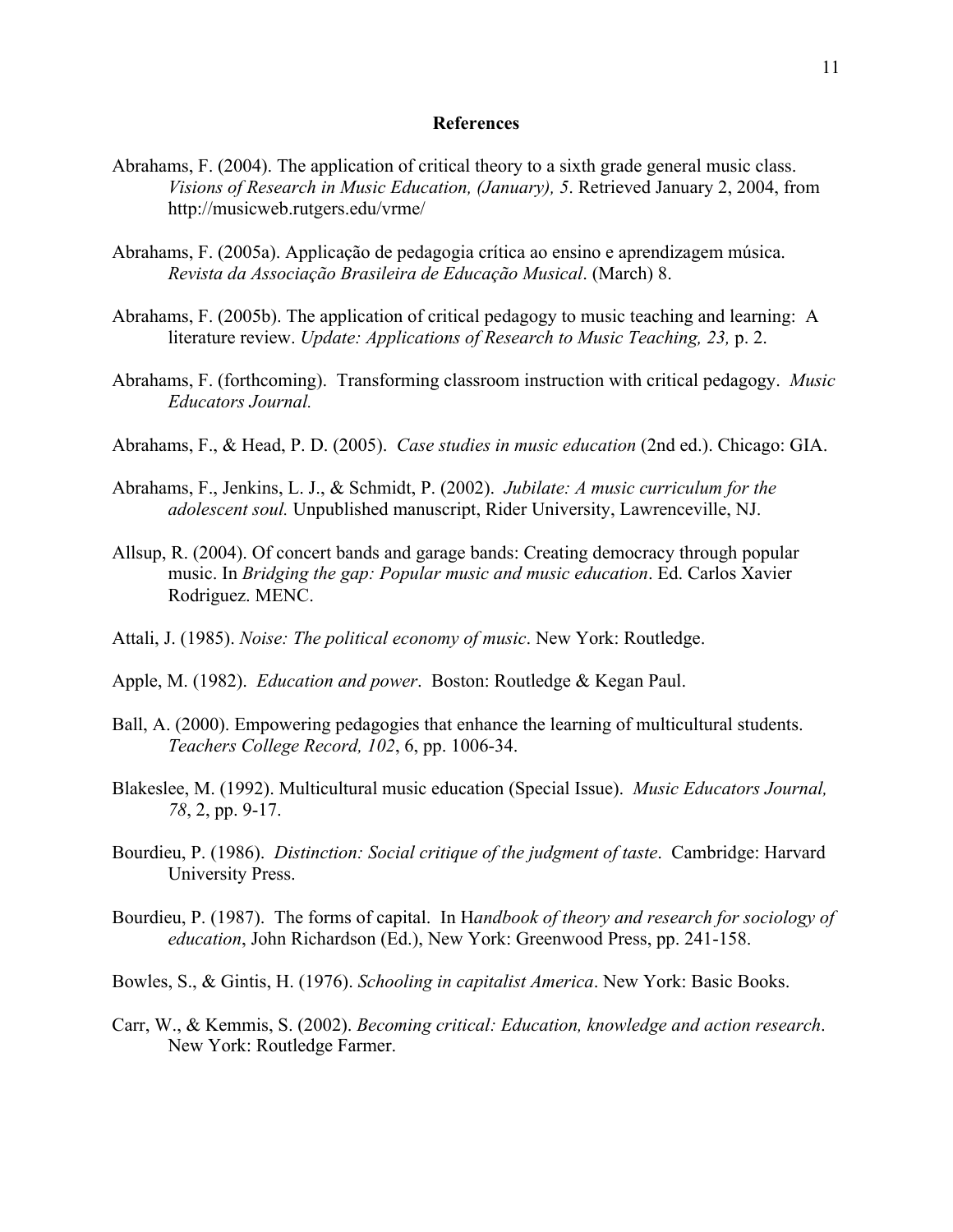## **References**

- Abrahams, F. (2004). The application of critical theory to a sixth grade general music class. *Visions of Research in Music Education, (January), 5*. Retrieved January 2, 2004, from http://musicweb.rutgers.edu/vrme/
- Abrahams, F. (2005a). Applicação de pedagogia crítica ao ensino e aprendizagem música. *Revista da Associação Brasileira de Educação Musical*. (March) 8.
- Abrahams, F. (2005b). The application of critical pedagogy to music teaching and learning: A literature review. *Update: Applications of Research to Music Teaching, 23,* p. 2.
- Abrahams, F. (forthcoming). Transforming classroom instruction with critical pedagogy. *Music Educators Journal.*
- Abrahams, F., & Head, P. D. (2005). *Case studies in music education* (2nd ed.). Chicago: GIA.
- Abrahams, F., Jenkins, L. J., & Schmidt, P. (2002). *Jubilate: A music curriculum for the adolescent soul.* Unpublished manuscript, Rider University, Lawrenceville, NJ.
- Allsup, R. (2004). Of concert bands and garage bands: Creating democracy through popular music. In *Bridging the gap: Popular music and music education*. Ed. Carlos Xavier Rodriguez. MENC.
- Attali, J. (1985). *Noise: The political economy of music*. New York: Routledge.
- Apple, M. (1982). *Education and power*. Boston: Routledge & Kegan Paul.
- Ball, A. (2000). Empowering pedagogies that enhance the learning of multicultural students. *Teachers College Record, 102*, 6, pp. 1006-34.
- Blakeslee, M. (1992). Multicultural music education (Special Issue). *Music Educators Journal, 78*, 2, pp. 9-17.
- Bourdieu, P. (1986). *Distinction: Social critique of the judgment of taste*. Cambridge: Harvard University Press.
- Bourdieu, P. (1987). The forms of capital. In H*andbook of theory and research for sociology of education*, John Richardson (Ed.), New York: Greenwood Press, pp. 241-158.
- Bowles, S., & Gintis, H. (1976). *Schooling in capitalist America*. New York: Basic Books.
- Carr, W., & Kemmis, S. (2002). *Becoming critical: Education, knowledge and action research*. New York: Routledge Farmer.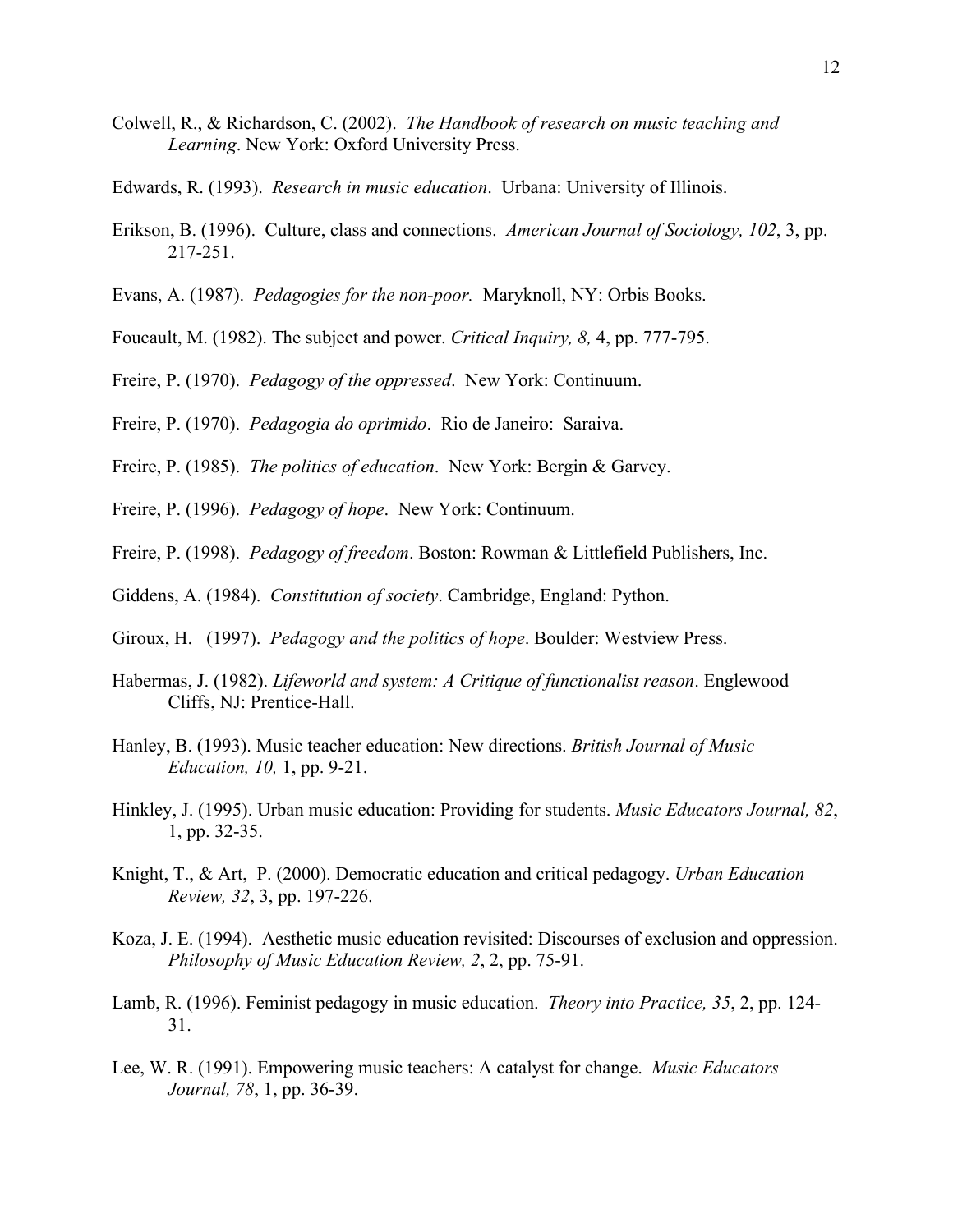- Colwell, R., & Richardson, C. (2002). *The Handbook of research on music teaching and Learning*. New York: Oxford University Press.
- Edwards, R. (1993). *Research in music education*. Urbana: University of Illinois.
- Erikson, B. (1996). Culture, class and connections. *American Journal of Sociology, 102*, 3, pp. 217-251.
- Evans, A. (1987). *Pedagogies for the non-poor.* Maryknoll, NY: Orbis Books.
- Foucault, M. (1982). The subject and power. *Critical Inquiry, 8,* 4, pp. 777-795.
- Freire, P. (1970). *Pedagogy of the oppressed*. New York: Continuum.
- Freire, P. (1970). *Pedagogia do oprimido*. Rio de Janeiro: Saraiva.
- Freire, P. (1985). *The politics of education*. New York: Bergin & Garvey.
- Freire, P. (1996). *Pedagogy of hope*. New York: Continuum.
- Freire, P. (1998). *Pedagogy of freedom*. Boston: Rowman & Littlefield Publishers, Inc.
- Giddens, A. (1984). *Constitution of society*. Cambridge, England: Python.
- Giroux, H. (1997). *Pedagogy and the politics of hope*. Boulder: Westview Press.
- Habermas, J. (1982). *Lifeworld and system: A Critique of functionalist reason*. Englewood Cliffs, NJ: Prentice-Hall.
- Hanley, B. (1993). Music teacher education: New directions. *British Journal of Music Education, 10,* 1, pp. 9-21.
- Hinkley, J. (1995). Urban music education: Providing for students. *Music Educators Journal, 82*, 1, pp. 32-35.
- Knight, T., & Art, P. (2000). Democratic education and critical pedagogy. *Urban Education Review, 32*, 3, pp. 197-226.
- Koza, J. E. (1994). Aesthetic music education revisited: Discourses of exclusion and oppression. *Philosophy of Music Education Review, 2*, 2, pp. 75-91.
- Lamb, R. (1996). Feminist pedagogy in music education. *Theory into Practice, 35*, 2, pp. 124- 31.
- Lee, W. R. (1991). Empowering music teachers: A catalyst for change. *Music Educators Journal, 78*, 1, pp. 36-39.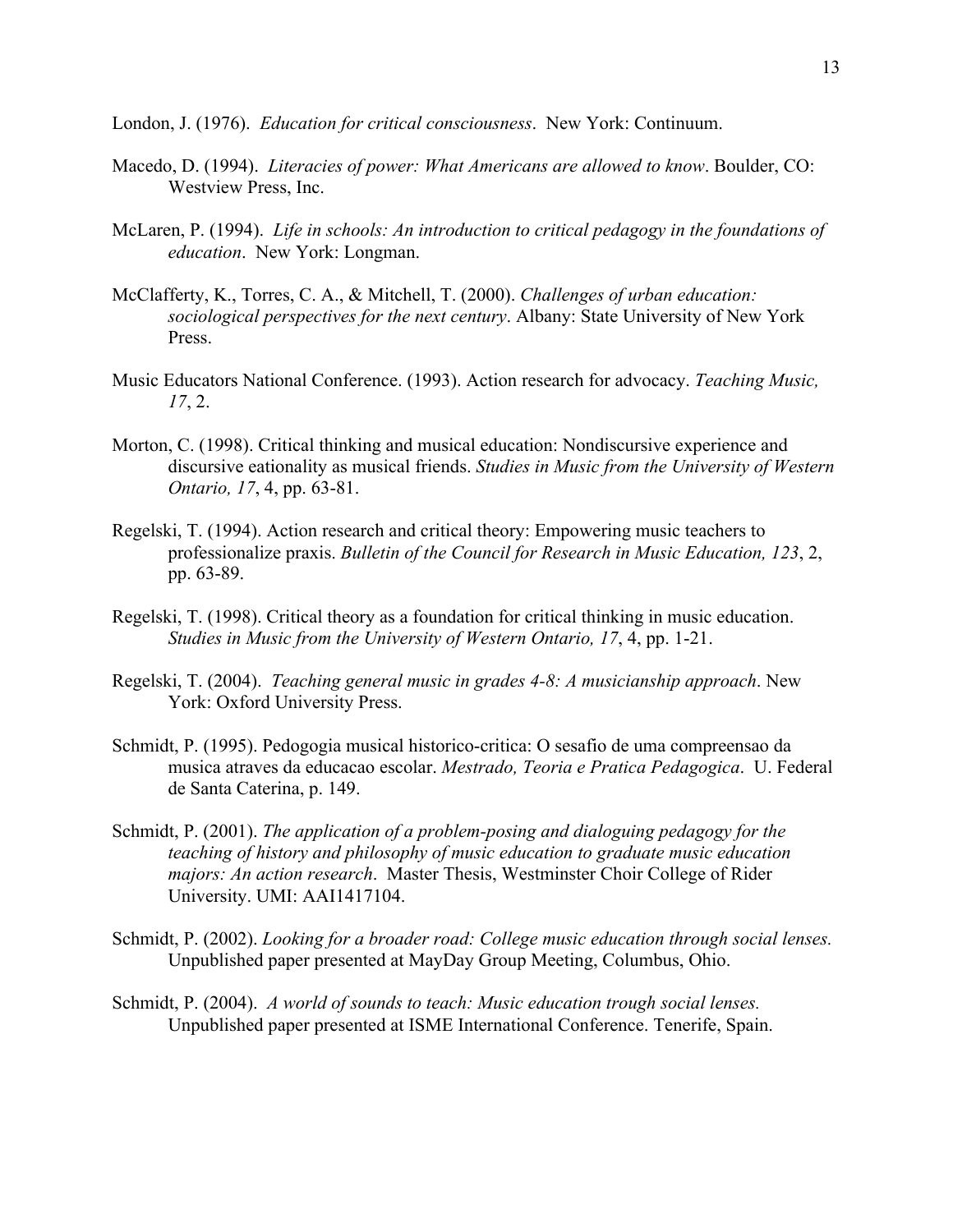London, J. (1976). *Education for critical consciousness*. New York: Continuum.

- Macedo, D. (1994). *Literacies of power: What Americans are allowed to know*. Boulder, CO: Westview Press, Inc.
- McLaren, P. (1994). *Life in schools: An introduction to critical pedagogy in the foundations of education*. New York: Longman.
- McClafferty, K., Torres, C. A., & Mitchell, T. (2000). *Challenges of urban education: sociological perspectives for the next century*. Albany: State University of New York Press.
- Music Educators National Conference. (1993). Action research for advocacy. *Teaching Music, 17*, 2.
- Morton, C. (1998). Critical thinking and musical education: Nondiscursive experience and discursive eationality as musical friends. *Studies in Music from the University of Western Ontario, 17*, 4, pp. 63-81.
- Regelski, T. (1994). Action research and critical theory: Empowering music teachers to professionalize praxis. *Bulletin of the Council for Research in Music Education, 123*, 2, pp. 63-89.
- Regelski, T. (1998). Critical theory as a foundation for critical thinking in music education. *Studies in Music from the University of Western Ontario, 17*, 4, pp. 1-21.
- Regelski, T. (2004). *Teaching general music in grades 4-8: A musicianship approach*. New York: Oxford University Press.
- Schmidt, P. (1995). Pedogogia musical historico-critica: O sesafio de uma compreensao da musica atraves da educacao escolar. *Mestrado, Teoria e Pratica Pedagogica*. U. Federal de Santa Caterina, p. 149.
- Schmidt, P. (2001). *The application of a problem-posing and dialoguing pedagogy for the teaching of history and philosophy of music education to graduate music education majors: An action research*. Master Thesis, Westminster Choir College of Rider University. UMI: AAI1417104.
- Schmidt, P. (2002). *Looking for a broader road: College music education through social lenses.* Unpublished paper presented at MayDay Group Meeting, Columbus, Ohio.
- Schmidt, P. (2004). *A world of sounds to teach: Music education trough social lenses.* Unpublished paper presented at ISME International Conference. Tenerife, Spain.